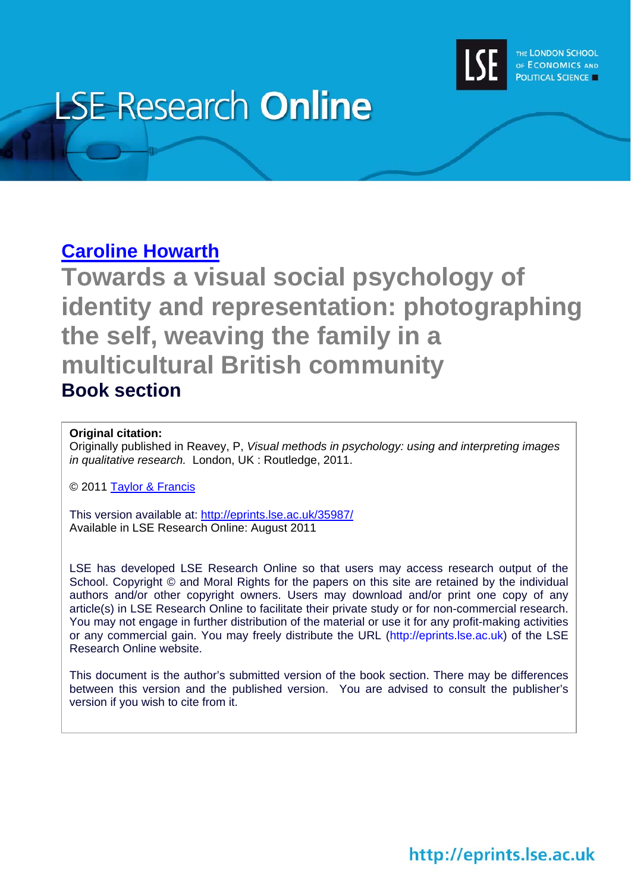

# **LSE Research Online**

# **[Caroline Howarth](http://www2.lse.ac.uk/researchAndExpertise/Experts/profile.aspx?KeyValue=c.s.howarth@lse.ac.uk)**

**Towards a visual social psychology of identity and representation: photographing the self, weaving the family in a multicultural British community Book section** 

### **Original citation:**

Originally published in Reavey, P, *Visual methods in psychology: using and interpreting images in qualitative research.* London, UK : Routledge, 2011.

© 2011 [Taylor & Francis](http://www.routledge.com/)

This version available at: <http://eprints.lse.ac.uk/35987/> Available in LSE Research Online: August 2011

LSE has developed LSE Research Online so that users may access research output of the School. Copyright © and Moral Rights for the papers on this site are retained by the individual authors and/or other copyright owners. Users may download and/or print one copy of any article(s) in LSE Research Online to facilitate their private study or for non-commercial research. You may not engage in further distribution of the material or use it for any profit-making activities or any commercial gain. You may freely distribute the URL (http://eprints.lse.ac.uk) of the LSE Research Online website.

This document is the author's submitted version of the book section. There may be differences between this version and the published version. You are advised to consult the publisher's version if you wish to cite from it.

http://eprints.lse.ac.uk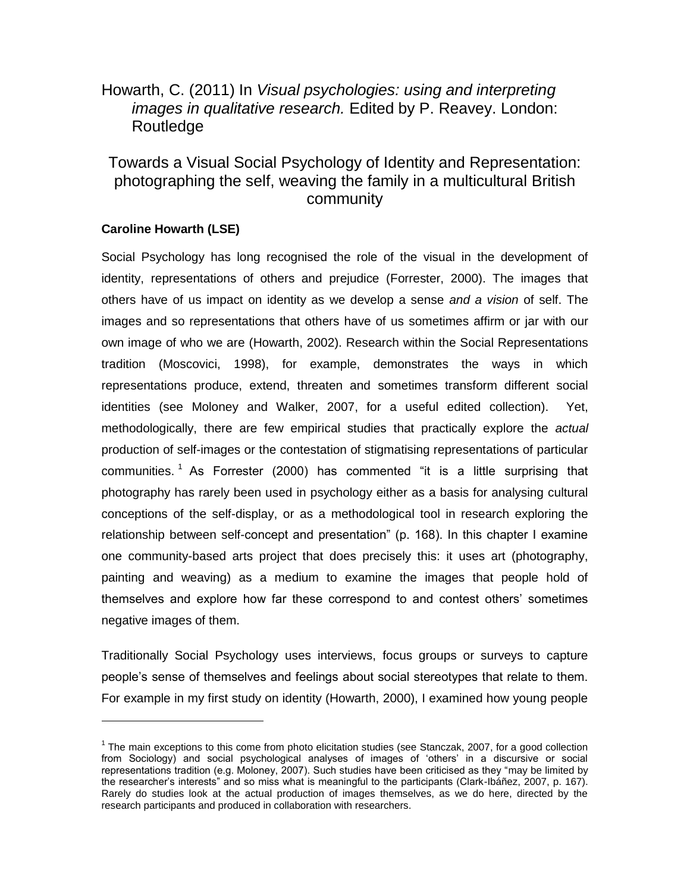# Howarth, C. (2011) In *Visual psychologies: using and interpreting images in qualitative research.* Edited by P. Reavey. London: Routledge

# Towards a Visual Social Psychology of Identity and Representation: photographing the self, weaving the family in a multicultural British community

## **Caroline Howarth (LSE)**

 $\overline{a}$ 

Social Psychology has long recognised the role of the visual in the development of identity, representations of others and prejudice (Forrester, 2000). The images that others have of us impact on identity as we develop a sense *and a vision* of self. The images and so representations that others have of us sometimes affirm or jar with our own image of who we are (Howarth, 2002). Research within the Social Representations tradition (Moscovici, 1998), for example, demonstrates the ways in which representations produce, extend, threaten and sometimes transform different social identities (see Moloney and Walker, 2007, for a useful edited collection). Yet, methodologically, there are few empirical studies that practically explore the *actual* production of self-images or the contestation of stigmatising representations of particular communities.<sup>1</sup> As Forrester (2000) has commented "it is a little surprising that photography has rarely been used in psychology either as a basis for analysing cultural conceptions of the self-display, or as a methodological tool in research exploring the relationship between self-concept and presentation" (p. 168). In this chapter I examine one community-based arts project that does precisely this: it uses art (photography, painting and weaving) as a medium to examine the images that people hold of themselves and explore how far these correspond to and contest others" sometimes negative images of them.

Traditionally Social Psychology uses interviews, focus groups or surveys to capture people"s sense of themselves and feelings about social stereotypes that relate to them. For example in my first study on identity (Howarth, 2000), I examined how young people

 $1$  The main exceptions to this come from photo elicitation studies (see Stanczak, 2007, for a good collection from Sociology) and social psychological analyses of images of "others" in a discursive or social representations tradition (e.g. Moloney, 2007). Such studies have been criticised as they "may be limited by the researcher"s interests" and so miss what is meaningful to the participants (Clark-Ibáñez, 2007, p. 167). Rarely do studies look at the actual production of images themselves, as we do here, directed by the research participants and produced in collaboration with researchers.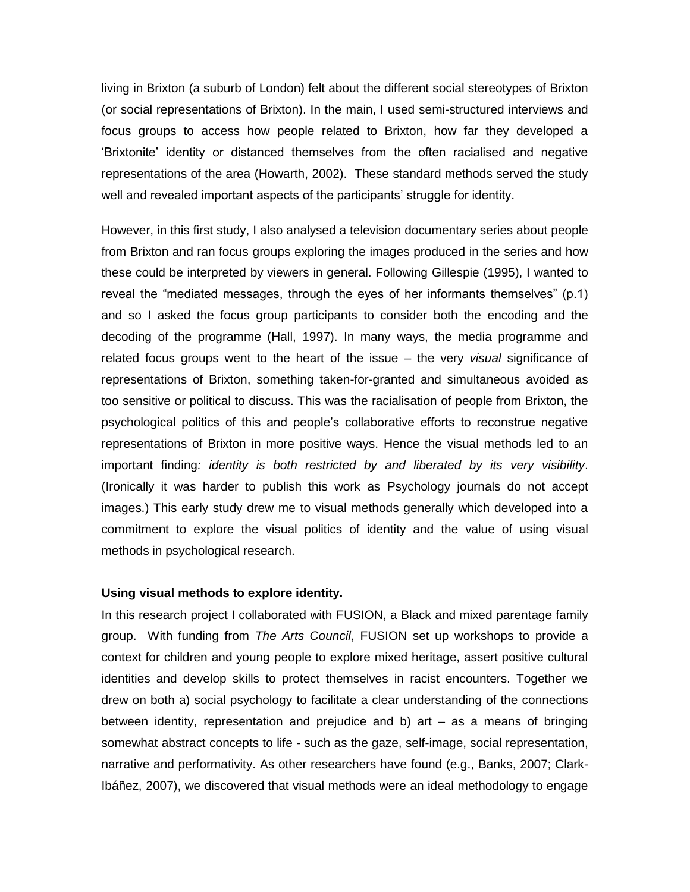living in Brixton (a suburb of London) felt about the different social stereotypes of Brixton (or social representations of Brixton). In the main, I used semi-structured interviews and focus groups to access how people related to Brixton, how far they developed a "Brixtonite" identity or distanced themselves from the often racialised and negative representations of the area (Howarth, 2002). These standard methods served the study well and revealed important aspects of the participants' struggle for identity.

However, in this first study, I also analysed a television documentary series about people from Brixton and ran focus groups exploring the images produced in the series and how these could be interpreted by viewers in general. Following Gillespie (1995), I wanted to reveal the "mediated messages, through the eyes of her informants themselves" (p.1) and so I asked the focus group participants to consider both the encoding and the decoding of the programme (Hall, 1997). In many ways, the media programme and related focus groups went to the heart of the issue – the very *visual* significance of representations of Brixton, something taken-for-granted and simultaneous avoided as too sensitive or political to discuss. This was the racialisation of people from Brixton, the psychological politics of this and people"s collaborative efforts to reconstrue negative representations of Brixton in more positive ways. Hence the visual methods led to an important finding*: identity is both restricted by and liberated by its very visibility*. (Ironically it was harder to publish this work as Psychology journals do not accept images.) This early study drew me to visual methods generally which developed into a commitment to explore the visual politics of identity and the value of using visual methods in psychological research.

#### **Using visual methods to explore identity.**

In this research project I collaborated with FUSION, a Black and mixed parentage family group. With funding from *The Arts Council*, FUSION set up workshops to provide a context for children and young people to explore mixed heritage, assert positive cultural identities and develop skills to protect themselves in racist encounters. Together we drew on both a) social psychology to facilitate a clear understanding of the connections between identity, representation and prejudice and b) art – as a means of bringing somewhat abstract concepts to life - such as the gaze, self-image, social representation, narrative and performativity. As other researchers have found (e.g., Banks, 2007; Clark-Ibáñez, 2007), we discovered that visual methods were an ideal methodology to engage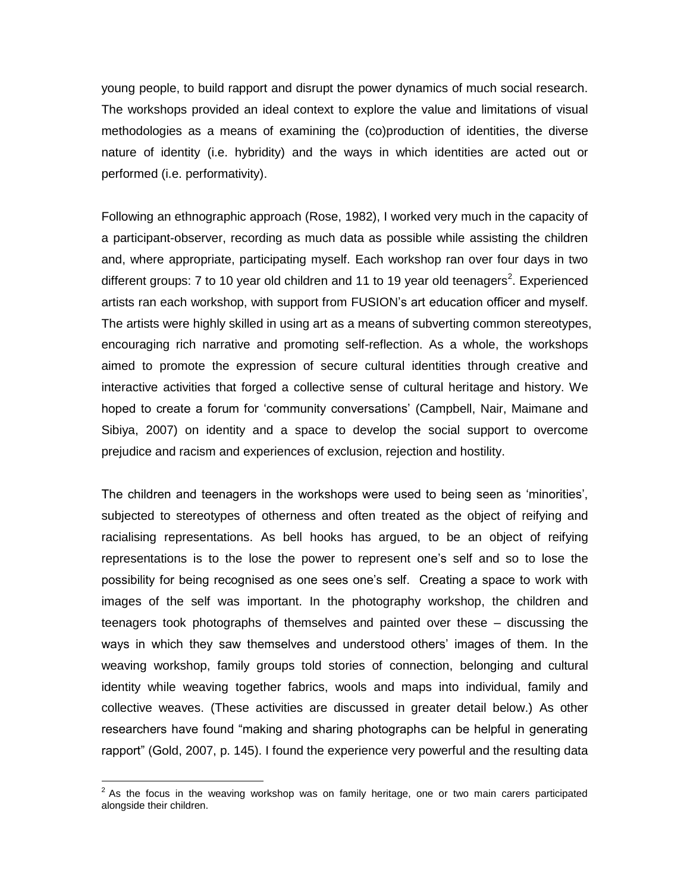young people, to build rapport and disrupt the power dynamics of much social research. The workshops provided an ideal context to explore the value and limitations of visual methodologies as a means of examining the (co)production of identities, the diverse nature of identity (i.e. hybridity) and the ways in which identities are acted out or performed (i.e. performativity).

Following an ethnographic approach (Rose, 1982), I worked very much in the capacity of a participant-observer, recording as much data as possible while assisting the children and, where appropriate, participating myself. Each workshop ran over four days in two different groups: 7 to 10 year old children and 11 to 19 year old teenagers<sup>2</sup>. Experienced artists ran each workshop, with support from FUSION"s art education officer and myself. The artists were highly skilled in using art as a means of subverting common stereotypes, encouraging rich narrative and promoting self-reflection. As a whole, the workshops aimed to promote the expression of secure cultural identities through creative and interactive activities that forged a collective sense of cultural heritage and history. We hoped to create a forum for 'community conversations' (Campbell, Nair, Maimane and Sibiya, 2007) on identity and a space to develop the social support to overcome prejudice and racism and experiences of exclusion, rejection and hostility.

The children and teenagers in the workshops were used to being seen as "minorities", subjected to stereotypes of otherness and often treated as the object of reifying and racialising representations. As bell hooks has argued, to be an object of reifying representations is to the lose the power to represent one"s self and so to lose the possibility for being recognised as one sees one"s self. Creating a space to work with images of the self was important. In the photography workshop, the children and teenagers took photographs of themselves and painted over these – discussing the ways in which they saw themselves and understood others" images of them. In the weaving workshop, family groups told stories of connection, belonging and cultural identity while weaving together fabrics, wools and maps into individual, family and collective weaves. (These activities are discussed in greater detail below.) As other researchers have found "making and sharing photographs can be helpful in generating rapport" (Gold, 2007, p. 145). I found the experience very powerful and the resulting data

<sup>&</sup>lt;sup>2</sup> As the focus in the weaving workshop was on family heritage, one or two main carers participated alongside their children.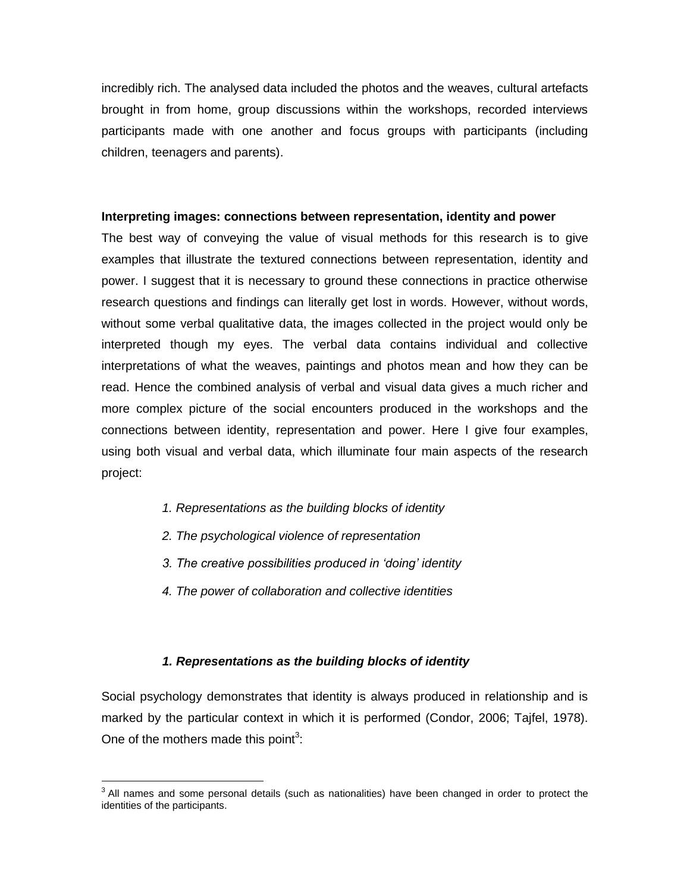incredibly rich. The analysed data included the photos and the weaves, cultural artefacts brought in from home, group discussions within the workshops, recorded interviews participants made with one another and focus groups with participants (including children, teenagers and parents).

#### **Interpreting images: connections between representation, identity and power**

The best way of conveying the value of visual methods for this research is to give examples that illustrate the textured connections between representation, identity and power. I suggest that it is necessary to ground these connections in practice otherwise research questions and findings can literally get lost in words. However, without words, without some verbal qualitative data, the images collected in the project would only be interpreted though my eyes. The verbal data contains individual and collective interpretations of what the weaves, paintings and photos mean and how they can be read. Hence the combined analysis of verbal and visual data gives a much richer and more complex picture of the social encounters produced in the workshops and the connections between identity, representation and power. Here I give four examples, using both visual and verbal data, which illuminate four main aspects of the research project:

- *1. Representations as the building blocks of identity*
- *2. The psychological violence of representation*
- *3. The creative possibilities produced in 'doing' identity*
- *4. The power of collaboration and collective identities*

#### *1. Representations as the building blocks of identity*

Social psychology demonstrates that identity is always produced in relationship and is marked by the particular context in which it is performed (Condor, 2006; Tajfel, 1978). One of the mothers made this point<sup>3</sup>:

All names and some personal details (such as nationalities) have been changed in order to protect the identities of the participants.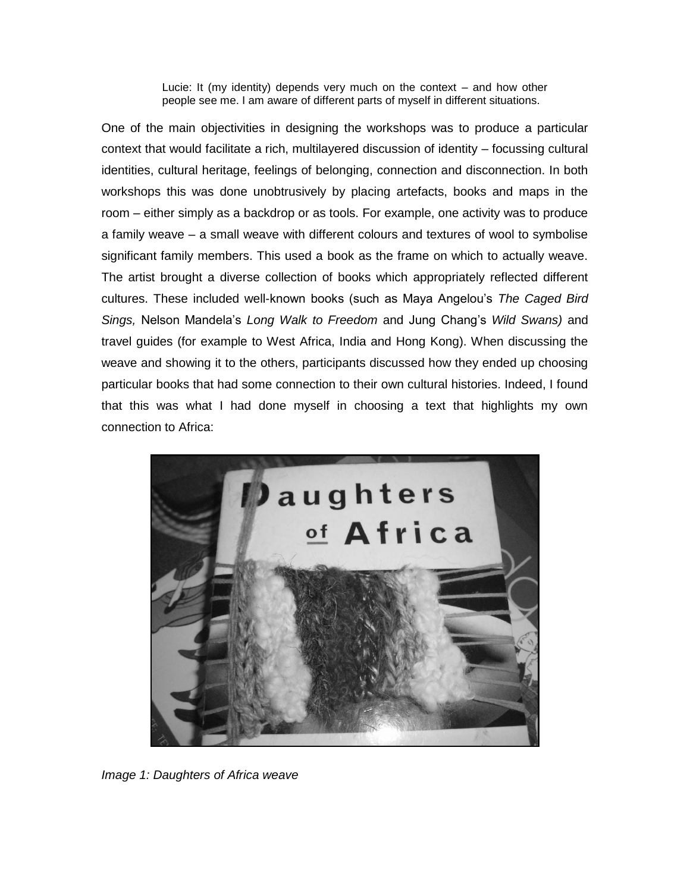Lucie: It (my identity) depends very much on the context – and how other people see me. I am aware of different parts of myself in different situations.

One of the main objectivities in designing the workshops was to produce a particular context that would facilitate a rich, multilayered discussion of identity – focussing cultural identities, cultural heritage, feelings of belonging, connection and disconnection. In both workshops this was done unobtrusively by placing artefacts, books and maps in the room – either simply as a backdrop or as tools. For example, one activity was to produce a family weave – a small weave with different colours and textures of wool to symbolise significant family members. This used a book as the frame on which to actually weave. The artist brought a diverse collection of books which appropriately reflected different cultures. These included well-known books (such as Maya Angelou"s *The Caged Bird Sings,* Nelson Mandela"s *Long Walk to Freedom* and Jung Chang"s *Wild Swans)* and travel guides (for example to West Africa, India and Hong Kong). When discussing the weave and showing it to the others, participants discussed how they ended up choosing particular books that had some connection to their own cultural histories. Indeed, I found that this was what I had done myself in choosing a text that highlights my own connection to Africa:



*Image 1: Daughters of Africa weave*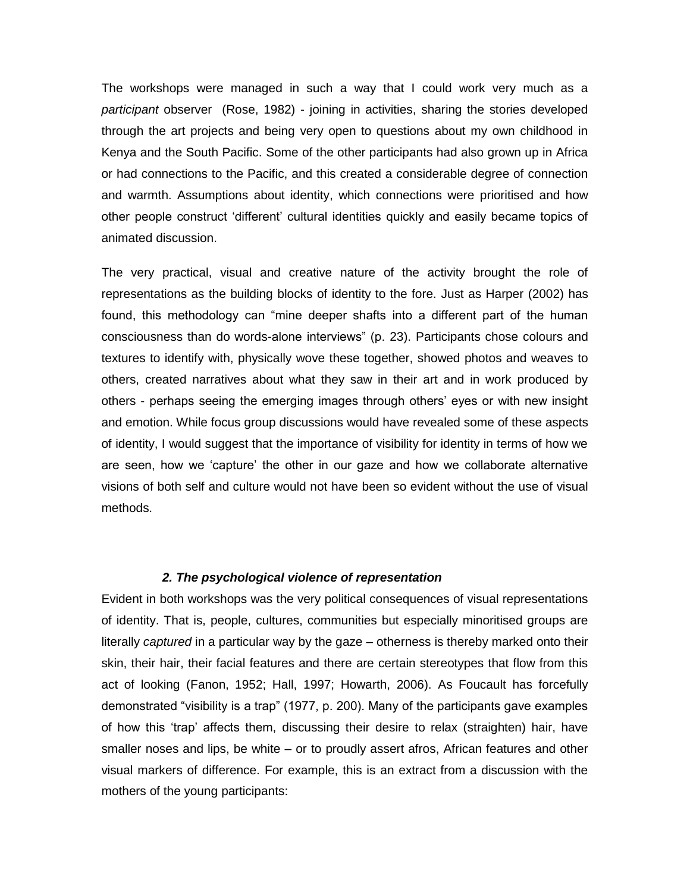The workshops were managed in such a way that I could work very much as a *participant* observer (Rose, 1982) - joining in activities, sharing the stories developed through the art projects and being very open to questions about my own childhood in Kenya and the South Pacific. Some of the other participants had also grown up in Africa or had connections to the Pacific, and this created a considerable degree of connection and warmth. Assumptions about identity, which connections were prioritised and how other people construct "different" cultural identities quickly and easily became topics of animated discussion.

The very practical, visual and creative nature of the activity brought the role of representations as the building blocks of identity to the fore. Just as Harper (2002) has found, this methodology can "mine deeper shafts into a different part of the human consciousness than do words-alone interviews" (p. 23). Participants chose colours and textures to identify with, physically wove these together, showed photos and weaves to others, created narratives about what they saw in their art and in work produced by others - perhaps seeing the emerging images through others" eyes or with new insight and emotion. While focus group discussions would have revealed some of these aspects of identity, I would suggest that the importance of visibility for identity in terms of how we are seen, how we "capture" the other in our gaze and how we collaborate alternative visions of both self and culture would not have been so evident without the use of visual methods.

#### *2. The psychological violence of representation*

Evident in both workshops was the very political consequences of visual representations of identity. That is, people, cultures, communities but especially minoritised groups are literally *captured* in a particular way by the gaze – otherness is thereby marked onto their skin, their hair, their facial features and there are certain stereotypes that flow from this act of looking (Fanon, 1952; Hall, 1997; Howarth, 2006). As Foucault has forcefully demonstrated "visibility is a trap" (1977, p. 200). Many of the participants gave examples of how this "trap" affects them, discussing their desire to relax (straighten) hair, have smaller noses and lips, be white – or to proudly assert afros, African features and other visual markers of difference. For example, this is an extract from a discussion with the mothers of the young participants: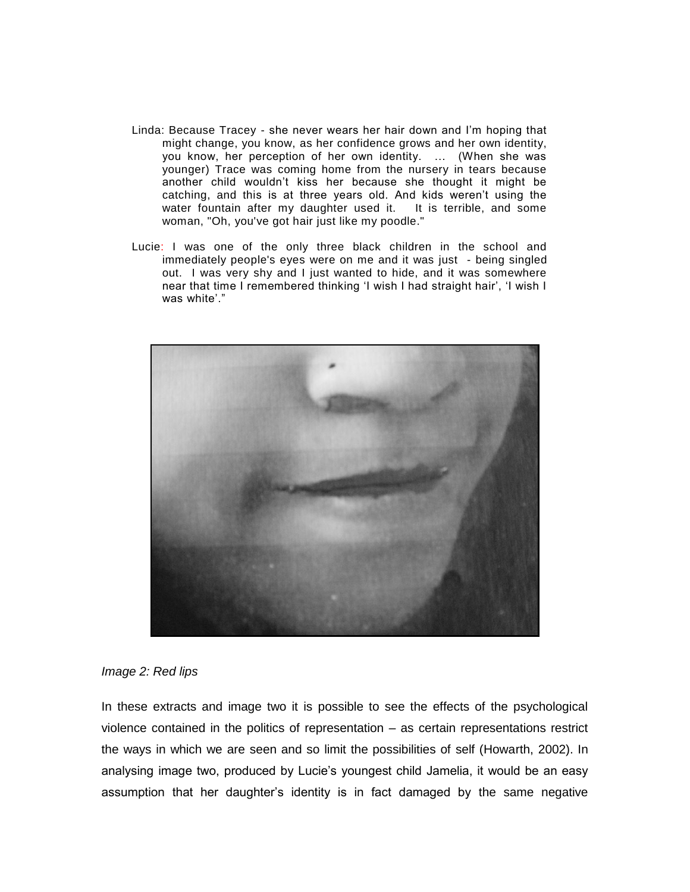- Linda: Because Tracey she never wears her hair down and I"m hoping that might change, you know, as her confidence grows and her own identity, you know, her perception of her own identity. … (When she was younger) Trace was coming home from the nursery in tears because another child wouldn"t kiss her because she thought it might be catching, and this is at three years old. And kids weren"t using the water fountain after my daughter used it. It is terrible, and some woman, "Oh, you've got hair just like my poodle."
- Lucie: I was one of the only three black children in the school and immediately people's eyes were on me and it was just - being singled out. I was very shy and I just wanted to hide, and it was somewhere near that time I remembered thinking "I wish I had straight hair", "I wish I was white'."



#### *Image 2: Red lips*

In these extracts and image two it is possible to see the effects of the psychological violence contained in the politics of representation – as certain representations restrict the ways in which we are seen and so limit the possibilities of self (Howarth, 2002). In analysing image two, produced by Lucie"s youngest child Jamelia, it would be an easy assumption that her daughter"s identity is in fact damaged by the same negative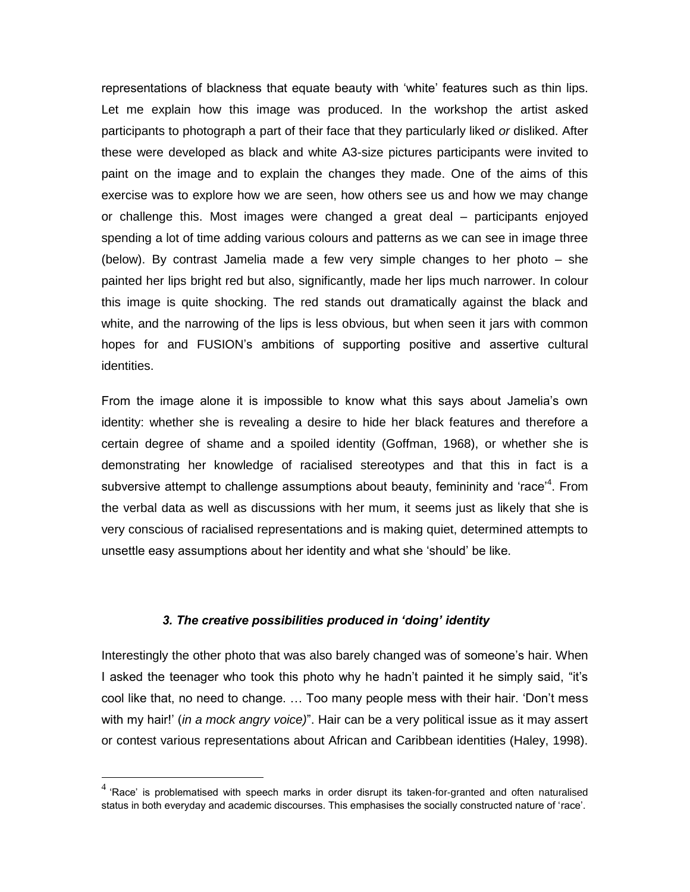representations of blackness that equate beauty with "white" features such as thin lips. Let me explain how this image was produced. In the workshop the artist asked participants to photograph a part of their face that they particularly liked *or* disliked. After these were developed as black and white A3-size pictures participants were invited to paint on the image and to explain the changes they made. One of the aims of this exercise was to explore how we are seen, how others see us and how we may change or challenge this. Most images were changed a great deal – participants enjoyed spending a lot of time adding various colours and patterns as we can see in image three (below). By contrast Jamelia made a few very simple changes to her photo – she painted her lips bright red but also, significantly, made her lips much narrower. In colour this image is quite shocking. The red stands out dramatically against the black and white, and the narrowing of the lips is less obvious, but when seen it jars with common hopes for and FUSION"s ambitions of supporting positive and assertive cultural identities.

From the image alone it is impossible to know what this says about Jamelia"s own identity: whether she is revealing a desire to hide her black features and therefore a certain degree of shame and a spoiled identity (Goffman, 1968), or whether she is demonstrating her knowledge of racialised stereotypes and that this in fact is a subversive attempt to challenge assumptions about beauty, femininity and 'race'<sup>4</sup>. From the verbal data as well as discussions with her mum, it seems just as likely that she is very conscious of racialised representations and is making quiet, determined attempts to unsettle easy assumptions about her identity and what she "should" be like.

#### *3. The creative possibilities produced in 'doing' identity*

Interestingly the other photo that was also barely changed was of someone"s hair. When I asked the teenager who took this photo why he hadn't painted it he simply said, "it's cool like that, no need to change. … Too many people mess with their hair. "Don"t mess with my hair!" (*in a mock angry voice)*". Hair can be a very political issue as it may assert or contest various representations about African and Caribbean identities (Haley, 1998).

 $\overline{a}$ 

 $<sup>4</sup>$  'Race' is problematised with speech marks in order disrupt its taken-for-granted and often naturalised</sup> status in both everyday and academic discourses. This emphasises the socially constructed nature of "race".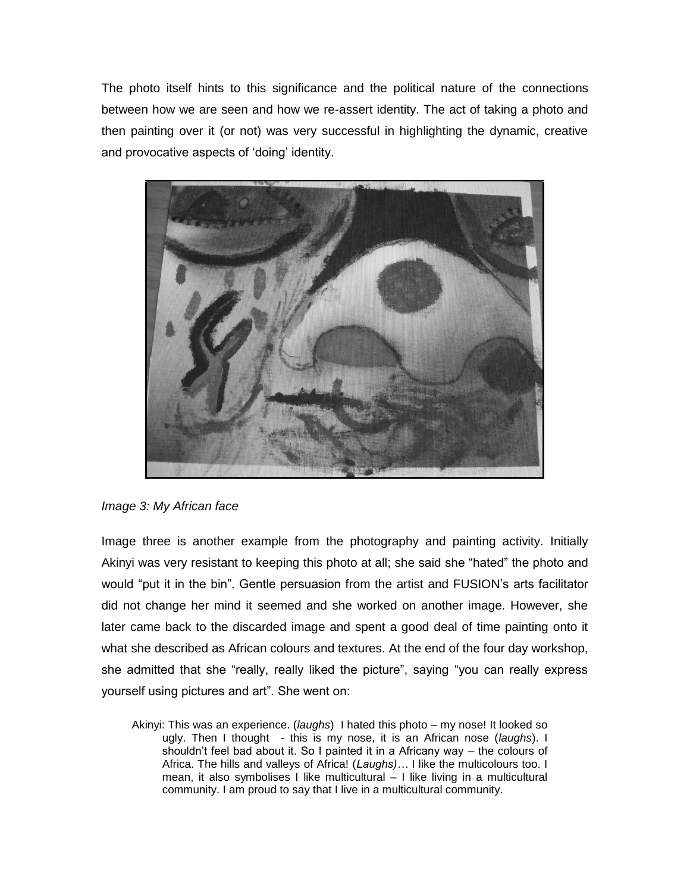The photo itself hints to this significance and the political nature of the connections between how we are seen and how we re-assert identity. The act of taking a photo and then painting over it (or not) was very successful in highlighting the dynamic, creative and provocative aspects of "doing" identity.



*Image 3: My African face*

Image three is another example from the photography and painting activity. Initially Akinyi was very resistant to keeping this photo at all; she said she "hated" the photo and would "put it in the bin". Gentle persuasion from the artist and FUSION"s arts facilitator did not change her mind it seemed and she worked on another image. However, she later came back to the discarded image and spent a good deal of time painting onto it what she described as African colours and textures. At the end of the four day workshop, she admitted that she "really, really liked the picture", saying "you can really express yourself using pictures and art". She went on:

Akinyi: This was an experience. (*laughs*) I hated this photo – my nose! It looked so ugly. Then I thought - this is my nose, it is an African nose (*laughs*). I shouldn"t feel bad about it. So I painted it in a Africany way – the colours of Africa. The hills and valleys of Africa! (*Laughs)…* I like the multicolours too. I mean, it also symbolises I like multicultural – I like living in a multicultural community. I am proud to say that I live in a multicultural community.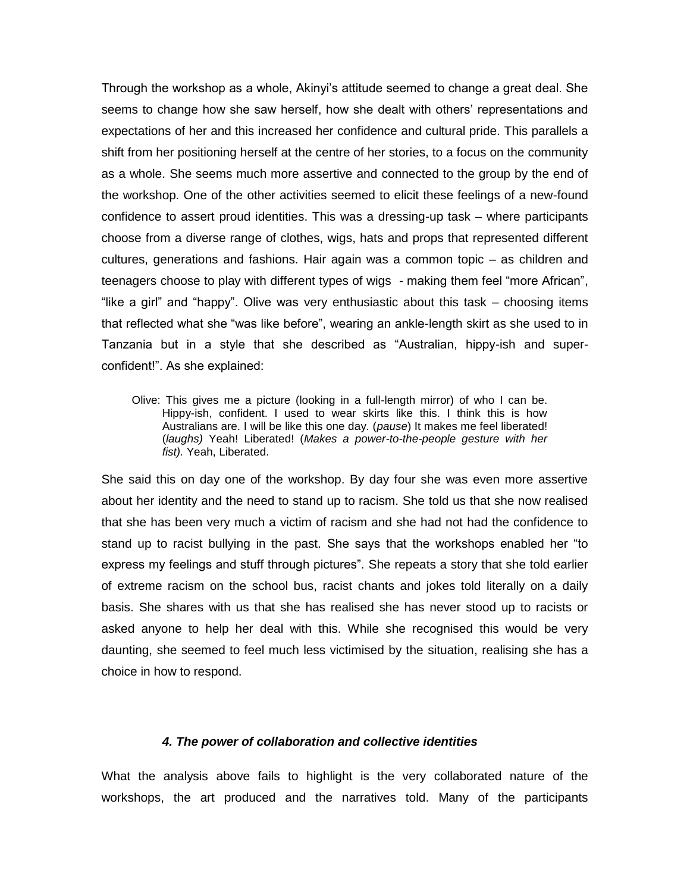Through the workshop as a whole, Akinyi"s attitude seemed to change a great deal. She seems to change how she saw herself, how she dealt with others" representations and expectations of her and this increased her confidence and cultural pride. This parallels a shift from her positioning herself at the centre of her stories, to a focus on the community as a whole. She seems much more assertive and connected to the group by the end of the workshop. One of the other activities seemed to elicit these feelings of a new-found confidence to assert proud identities. This was a dressing-up task – where participants choose from a diverse range of clothes, wigs, hats and props that represented different cultures, generations and fashions. Hair again was a common topic – as children and teenagers choose to play with different types of wigs - making them feel "more African", "like a girl" and "happy". Olive was very enthusiastic about this task – choosing items that reflected what she "was like before", wearing an ankle-length skirt as she used to in Tanzania but in a style that she described as "Australian, hippy-ish and superconfident!". As she explained:

Olive: This gives me a picture (looking in a full-length mirror) of who I can be. Hippy-ish, confident. I used to wear skirts like this. I think this is how Australians are. I will be like this one day. (*pause*) It makes me feel liberated! (*laughs)* Yeah! Liberated! (*Makes a power-to-the-people gesture with her fist).* Yeah, Liberated.

She said this on day one of the workshop. By day four she was even more assertive about her identity and the need to stand up to racism. She told us that she now realised that she has been very much a victim of racism and she had not had the confidence to stand up to racist bullying in the past. She says that the workshops enabled her "to express my feelings and stuff through pictures". She repeats a story that she told earlier of extreme racism on the school bus, racist chants and jokes told literally on a daily basis. She shares with us that she has realised she has never stood up to racists or asked anyone to help her deal with this. While she recognised this would be very daunting, she seemed to feel much less victimised by the situation, realising she has a choice in how to respond.

#### *4. The power of collaboration and collective identities*

What the analysis above fails to highlight is the very collaborated nature of the workshops, the art produced and the narratives told. Many of the participants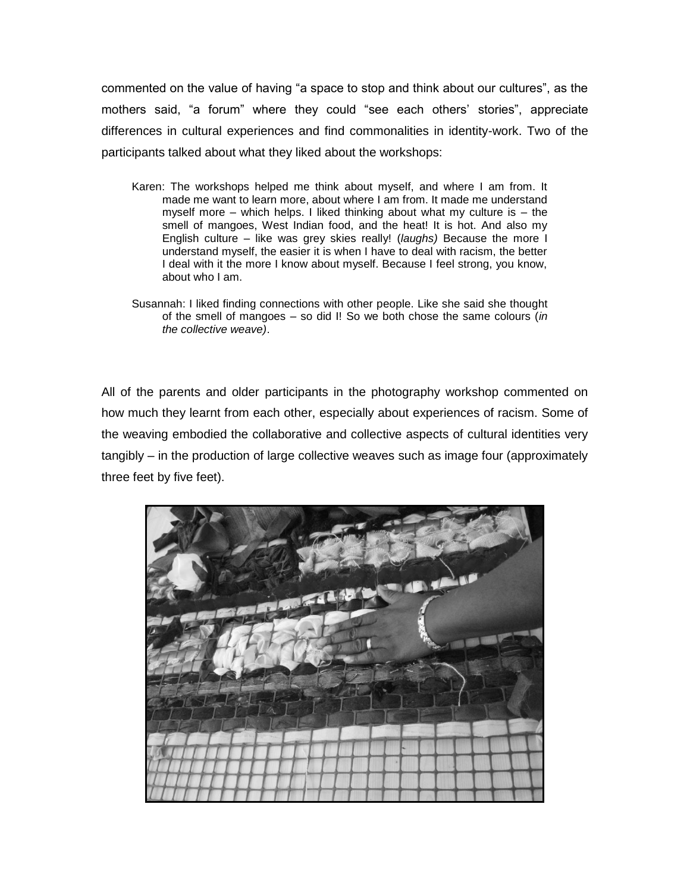commented on the value of having "a space to stop and think about our cultures", as the mothers said, "a forum" where they could "see each others" stories", appreciate differences in cultural experiences and find commonalities in identity-work. Two of the participants talked about what they liked about the workshops:

- Karen: The workshops helped me think about myself, and where I am from. It made me want to learn more, about where I am from. It made me understand myself more – which helps. I liked thinking about what my culture is – the smell of mangoes, West Indian food, and the heat! It is hot. And also my English culture – like was grey skies really! (*laughs)* Because the more I understand myself, the easier it is when I have to deal with racism, the better I deal with it the more I know about myself. Because I feel strong, you know, about who I am.
- Susannah: I liked finding connections with other people. Like she said she thought of the smell of mangoes – so did I! So we both chose the same colours (*in the collective weave)*.

All of the parents and older participants in the photography workshop commented on how much they learnt from each other, especially about experiences of racism. Some of the weaving embodied the collaborative and collective aspects of cultural identities very tangibly – in the production of large collective weaves such as image four (approximately three feet by five feet).

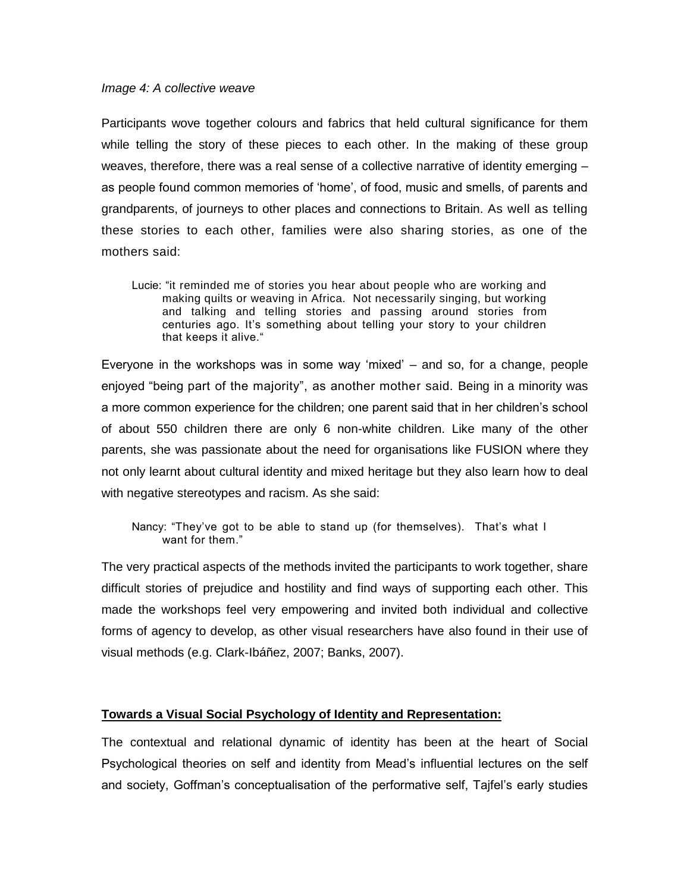#### *Image 4: A collective weave*

Participants wove together colours and fabrics that held cultural significance for them while telling the story of these pieces to each other. In the making of these group weaves, therefore, there was a real sense of a collective narrative of identity emerging – as people found common memories of "home", of food, music and smells, of parents and grandparents, of journeys to other places and connections to Britain. As well as telling these stories to each other, families were also sharing stories, as one of the mothers said:

Lucie: "it reminded me of stories you hear about people who are working and making quilts or weaving in Africa. Not necessarily singing, but working and talking and telling stories and passing around stories from centuries ago. It's something about telling your story to your children that keeps it alive."

Everyone in the workshops was in some way "mixed" – and so, for a change, people enjoyed "being part of the majority", as another mother said. Being in a minority was a more common experience for the children; one parent said that in her children"s school of about 550 children there are only 6 non-white children. Like many of the other parents, she was passionate about the need for organisations like FUSION where they not only learnt about cultural identity and mixed heritage but they also learn how to deal with negative stereotypes and racism. As she said:

Nancy: "They've got to be able to stand up (for themselves). That's what I want for them."

The very practical aspects of the methods invited the participants to work together, share difficult stories of prejudice and hostility and find ways of supporting each other. This made the workshops feel very empowering and invited both individual and collective forms of agency to develop, as other visual researchers have also found in their use of visual methods (e.g. Clark-Ibáñez, 2007; Banks, 2007).

#### **Towards a Visual Social Psychology of Identity and Representation:**

The contextual and relational dynamic of identity has been at the heart of Social Psychological theories on self and identity from Mead"s influential lectures on the self and society, Goffman"s conceptualisation of the performative self, Tajfel"s early studies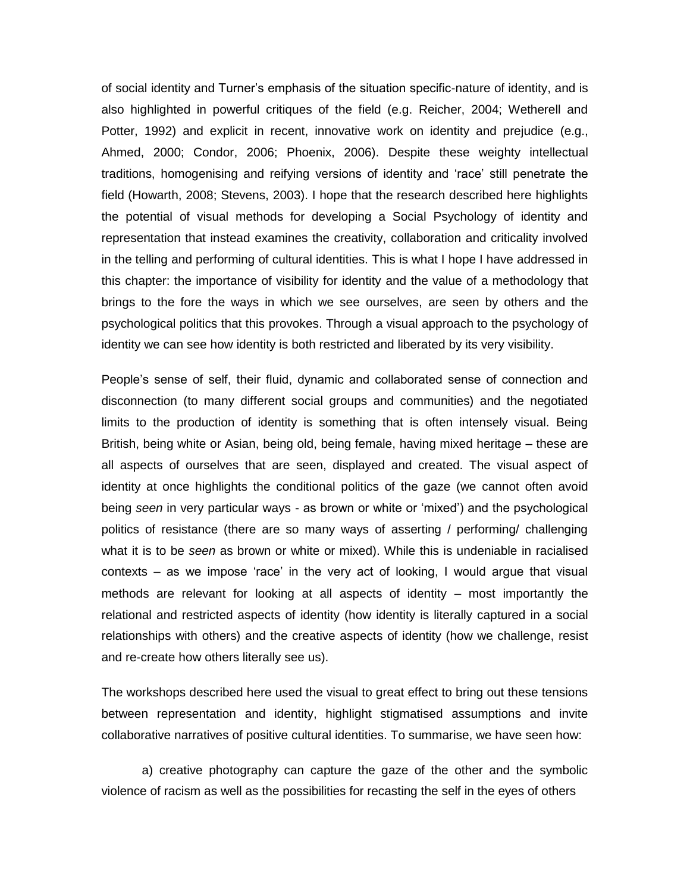of social identity and Turner"s emphasis of the situation specific-nature of identity, and is also highlighted in powerful critiques of the field (e.g. Reicher, 2004; Wetherell and Potter, 1992) and explicit in recent, innovative work on identity and prejudice (e.g., Ahmed, 2000; Condor, 2006; Phoenix, 2006). Despite these weighty intellectual traditions, homogenising and reifying versions of identity and "race" still penetrate the field (Howarth, 2008; Stevens, 2003). I hope that the research described here highlights the potential of visual methods for developing a Social Psychology of identity and representation that instead examines the creativity, collaboration and criticality involved in the telling and performing of cultural identities. This is what I hope I have addressed in this chapter: the importance of visibility for identity and the value of a methodology that brings to the fore the ways in which we see ourselves, are seen by others and the psychological politics that this provokes. Through a visual approach to the psychology of identity we can see how identity is both restricted and liberated by its very visibility.

People"s sense of self, their fluid, dynamic and collaborated sense of connection and disconnection (to many different social groups and communities) and the negotiated limits to the production of identity is something that is often intensely visual. Being British, being white or Asian, being old, being female, having mixed heritage – these are all aspects of ourselves that are seen, displayed and created. The visual aspect of identity at once highlights the conditional politics of the gaze (we cannot often avoid being *seen* in very particular ways - as brown or white or "mixed") and the psychological politics of resistance (there are so many ways of asserting / performing/ challenging what it is to be *seen* as brown or white or mixed). While this is undeniable in racialised contexts – as we impose "race" in the very act of looking, I would argue that visual methods are relevant for looking at all aspects of identity – most importantly the relational and restricted aspects of identity (how identity is literally captured in a social relationships with others) and the creative aspects of identity (how we challenge, resist and re-create how others literally see us).

The workshops described here used the visual to great effect to bring out these tensions between representation and identity, highlight stigmatised assumptions and invite collaborative narratives of positive cultural identities. To summarise, we have seen how:

a) creative photography can capture the gaze of the other and the symbolic violence of racism as well as the possibilities for recasting the self in the eyes of others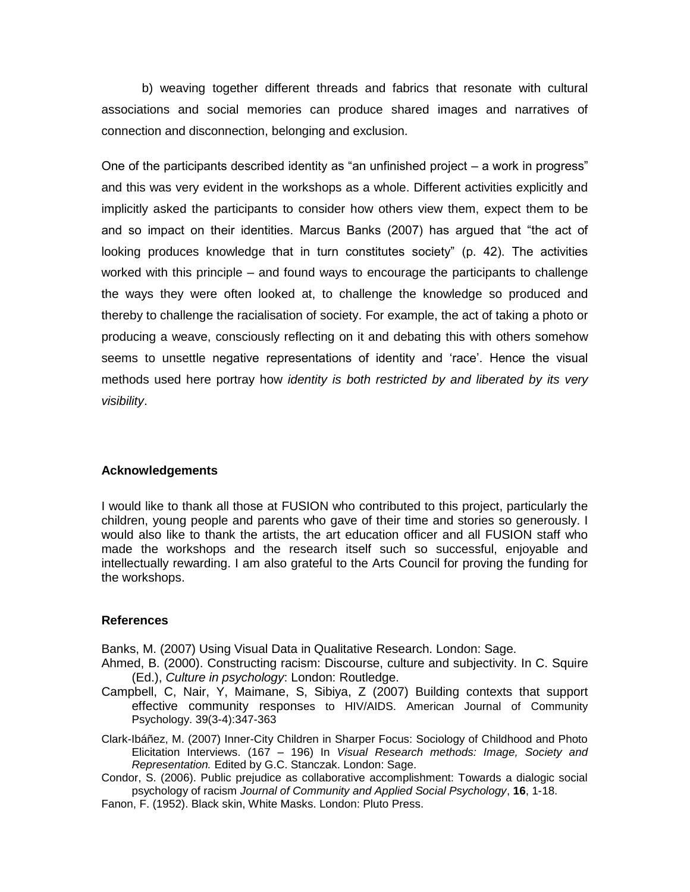b) weaving together different threads and fabrics that resonate with cultural associations and social memories can produce shared images and narratives of connection and disconnection, belonging and exclusion.

One of the participants described identity as "an unfinished project – a work in progress" and this was very evident in the workshops as a whole. Different activities explicitly and implicitly asked the participants to consider how others view them, expect them to be and so impact on their identities. Marcus Banks (2007) has argued that "the act of looking produces knowledge that in turn constitutes society" (p. 42). The activities worked with this principle – and found ways to encourage the participants to challenge the ways they were often looked at, to challenge the knowledge so produced and thereby to challenge the racialisation of society. For example, the act of taking a photo or producing a weave, consciously reflecting on it and debating this with others somehow seems to unsettle negative representations of identity and "race". Hence the visual methods used here portray how *identity is both restricted by and liberated by its very visibility*.

#### **Acknowledgements**

I would like to thank all those at FUSION who contributed to this project, particularly the children, young people and parents who gave of their time and stories so generously. I would also like to thank the artists, the art education officer and all FUSION staff who made the workshops and the research itself such so successful, enjoyable and intellectually rewarding. I am also grateful to the Arts Council for proving the funding for the workshops.

#### **References**

Banks, M. (2007) Using Visual Data in Qualitative Research. London: Sage.

- Ahmed, B. (2000). Constructing racism: Discourse, culture and subjectivity. In C. Squire (Ed.), *Culture in psychology*: London: Routledge.
- Campbell, C, Nair, Y, Maimane, S, Sibiya, Z (2007) Building contexts that support effective community responses to HIV/AIDS. American Journal of Community Psychology. 39(3-4):347-363
- Clark-Ibáñez, M. (2007) Inner-City Children in Sharper Focus: Sociology of Childhood and Photo Elicitation Interviews. (167 – 196) In *Visual Research methods: Image, Society and Representation.* Edited by G.C. Stanczak. London: Sage.
- Condor, S. (2006). Public prejudice as collaborative accomplishment: Towards a dialogic social psychology of racism *Journal of Community and Applied Social Psychology*, **16**, 1-18.

Fanon, F. (1952). Black skin, White Masks. London: Pluto Press.